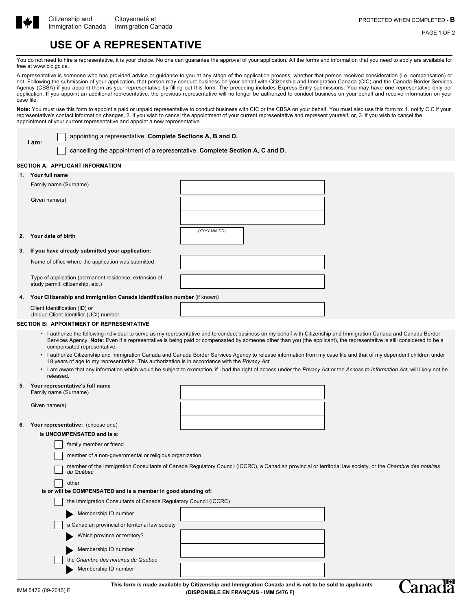

**I am:**

PAGE 1 OF 2

# **USE OF A REPRESENTATIVE**

You do not need to hire a representative, it is your choice. No one can guarantee the approval of your application. All the forms and information that you need to apply are available for free at www.cic.gc.ca.

A representative is someone who has provided advice or guidance to you at any stage of the application process, whether that person received consideration (i.e. compensation) or not. Following the submission of your application, that person may conduct business on your behalf with Citizenship and Immigration Canada (CIC) and the Canada Border Services Agency (CBSA) if you appoint them as your representative by filling out this form. The preceding includes Express Entry submissions. You may have **one** representative only per application. If you appoint an additional representative, the previous representative will no longer be authorized to conduct business on your behalf and receive information on your case file.

Note: You must use this form to appoint a paid or unpaid representative to conduct business with CIC or the CBSA on your behalf. You must also use this form to: 1. notify CIC if your representative's contact information changes, 2. if you wish to cancel the appointment of your current representative and represent yourself, or, 3. if you wish to cancel the appointment of your current representative and appoint a new representative

appointing a representative. **Complete Sections A, B and D.**

cancelling the appointment of a representative. **Complete Section A, C and D.**

## **SECTION A: APPLICANT INFORMATION**

|    | 1. Your full name                                                                                                                                                                                     |                                                                                                                                                                               |  |  |
|----|-------------------------------------------------------------------------------------------------------------------------------------------------------------------------------------------------------|-------------------------------------------------------------------------------------------------------------------------------------------------------------------------------|--|--|
|    | Family name (Surname)                                                                                                                                                                                 |                                                                                                                                                                               |  |  |
|    |                                                                                                                                                                                                       |                                                                                                                                                                               |  |  |
|    | Given name(s)                                                                                                                                                                                         |                                                                                                                                                                               |  |  |
|    |                                                                                                                                                                                                       |                                                                                                                                                                               |  |  |
|    |                                                                                                                                                                                                       |                                                                                                                                                                               |  |  |
|    |                                                                                                                                                                                                       | (YYYY-MM-DD)                                                                                                                                                                  |  |  |
| 2. | Your date of birth                                                                                                                                                                                    |                                                                                                                                                                               |  |  |
|    |                                                                                                                                                                                                       |                                                                                                                                                                               |  |  |
| 3. | If you have already submitted your application:                                                                                                                                                       |                                                                                                                                                                               |  |  |
|    | Name of office where the application was submitted                                                                                                                                                    |                                                                                                                                                                               |  |  |
|    |                                                                                                                                                                                                       |                                                                                                                                                                               |  |  |
|    | Type of application (permanent residence, extension of                                                                                                                                                |                                                                                                                                                                               |  |  |
|    | study permit, citizenship, etc.)                                                                                                                                                                      |                                                                                                                                                                               |  |  |
| 4. | Your Citizenship and Immigration Canada Identification number (if known)                                                                                                                              |                                                                                                                                                                               |  |  |
|    | Client Identification (ID) or                                                                                                                                                                         |                                                                                                                                                                               |  |  |
|    | Unique Client Identifier (UCI) number                                                                                                                                                                 |                                                                                                                                                                               |  |  |
|    | <b>SECTION B: APPOINTMENT OF REPRESENTATIVE</b>                                                                                                                                                       |                                                                                                                                                                               |  |  |
|    |                                                                                                                                                                                                       | • I authorize the following individual to serve as my representative and to conduct business on my behalf with Citizenship and Immigration Canada and Canada Border           |  |  |
|    | Services Agency. Note: Even if a representative is being paid or compensated by someone other than you (the applicant), the representative is still considered to be a<br>compensated representative. |                                                                                                                                                                               |  |  |
|    |                                                                                                                                                                                                       | • I authorize Citizenship and Immigration Canada and Canada Border Services Agency to release information from my case file and that of my dependent children under           |  |  |
|    | 18 years of age to my representative. This authorization is in accordance with the Privacy Act.                                                                                                       |                                                                                                                                                                               |  |  |
|    |                                                                                                                                                                                                       | . I am aware that any infermation which would be aubiget to accountion if I had the right of geneas under the Drivey Ast as the Assess to Infermentian Ast will likely not be |  |  |

• I am aware that any information which would be subject to exemption, if I had the right of access under the *Privacy Act* or the *Access to Information Act*, will likely not be released.

## **5. Your representative's full name**

Family name (Surname)

Given name(s)

## **6. Your representative:** (choose one)

**is UNCOMPENSATED and is a:**

|  | family member or friend                                                                                                                                                |  |  |  |  |  |  |  |  |  |
|--|------------------------------------------------------------------------------------------------------------------------------------------------------------------------|--|--|--|--|--|--|--|--|--|
|  | member of a non-governmental or religious organization                                                                                                                 |  |  |  |  |  |  |  |  |  |
|  | member of the Immigration Consultants of Canada Regulatory Council (ICCRC), a Canadian provincial or territorial law society, or the Chambre des notaires<br>du Québec |  |  |  |  |  |  |  |  |  |
|  | other                                                                                                                                                                  |  |  |  |  |  |  |  |  |  |
|  | is or will be COMPENSATED and is a member in good standing of:                                                                                                         |  |  |  |  |  |  |  |  |  |
|  | the Immigration Consultants of Canada Regulatory Council (ICCRC)                                                                                                       |  |  |  |  |  |  |  |  |  |
|  | Membership ID number                                                                                                                                                   |  |  |  |  |  |  |  |  |  |
|  | a Canadian provincial or territorial law society                                                                                                                       |  |  |  |  |  |  |  |  |  |
|  | Which province or territory?                                                                                                                                           |  |  |  |  |  |  |  |  |  |
|  | Membership ID number                                                                                                                                                   |  |  |  |  |  |  |  |  |  |
|  | the Chambre des notaires du Québec                                                                                                                                     |  |  |  |  |  |  |  |  |  |
|  | Membership ID number                                                                                                                                                   |  |  |  |  |  |  |  |  |  |
|  |                                                                                                                                                                        |  |  |  |  |  |  |  |  |  |